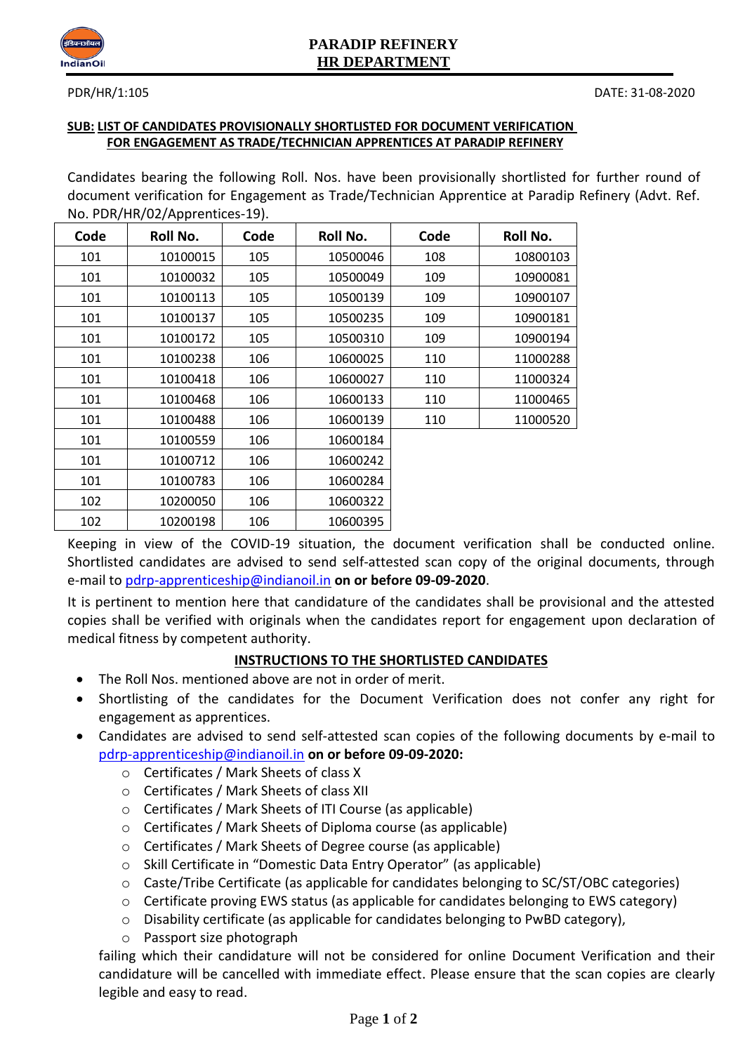

# **PARADIP REFINERY HR DEPARTMENT**

## **SUB: LIST OF CANDIDATES PROVISIONALLY SHORTLISTED FOR DOCUMENT VERIFICATION FOR ENGAGEMENT AS TRADE/TECHNICIAN APPRENTICES AT PARADIP REFINERY**

Candidates bearing the following Roll. Nos. have been provisionally shortlisted for further round of document verification for Engagement as Trade/Technician Apprentice at Paradip Refinery (Advt. Ref. No. PDR/HR/02/Apprentices-19).

| Code | Roll No. | Code | Roll No. | Code | Roll No. |
|------|----------|------|----------|------|----------|
| 101  | 10100015 | 105  | 10500046 | 108  | 10800103 |
| 101  | 10100032 | 105  | 10500049 | 109  | 10900081 |
| 101  | 10100113 | 105  | 10500139 | 109  | 10900107 |
| 101  | 10100137 | 105  | 10500235 | 109  | 10900181 |
| 101  | 10100172 | 105  | 10500310 | 109  | 10900194 |
| 101  | 10100238 | 106  | 10600025 | 110  | 11000288 |
| 101  | 10100418 | 106  | 10600027 | 110  | 11000324 |
| 101  | 10100468 | 106  | 10600133 | 110  | 11000465 |
| 101  | 10100488 | 106  | 10600139 | 110  | 11000520 |
| 101  | 10100559 | 106  | 10600184 |      |          |
| 101  | 10100712 | 106  | 10600242 |      |          |
| 101  | 10100783 | 106  | 10600284 |      |          |
| 102  | 10200050 | 106  | 10600322 |      |          |
| 102  | 10200198 | 106  | 10600395 |      |          |

Keeping in view of the COVID-19 situation, the document verification shall be conducted online. Shortlisted candidates are advised to send self-attested scan copy of the original documents, through e-mail to [pdrp-apprenticeship@indianoil.in](mailto:pdrp-apprenticeship@indianoil.in) **on or before 09-09-2020**.

It is pertinent to mention here that candidature of the candidates shall be provisional and the attested copies shall be verified with originals when the candidates report for engagement upon declaration of medical fitness by competent authority.

# **INSTRUCTIONS TO THE SHORTLISTED CANDIDATES**

- The Roll Nos. mentioned above are not in order of merit.
- Shortlisting of the candidates for the Document Verification does not confer any right for engagement as apprentices.
- Candidates are advised to send self-attested scan copies of the following documents by e-mail to [pdrp-apprenticeship@indianoil.in](mailto:pdrp-apprenticeship@indianoil.in) **on or before 09-09-2020:**
	- o Certificates / Mark Sheets of class X
	- o Certificates / Mark Sheets of class XII
	- o Certificates / Mark Sheets of ITI Course (as applicable)
	- o Certificates / Mark Sheets of Diploma course (as applicable)
	- o Certificates / Mark Sheets of Degree course (as applicable)
	- o Skill Certificate in "Domestic Data Entry Operator" (as applicable)
	- o Caste/Tribe Certificate (as applicable for candidates belonging to SC/ST/OBC categories)
	- o Certificate proving EWS status (as applicable for candidates belonging to EWS category)
	- $\circ$  Disability certificate (as applicable for candidates belonging to PwBD category),
	- o Passport size photograph

failing which their candidature will not be considered for online Document Verification and their candidature will be cancelled with immediate effect. Please ensure that the scan copies are clearly legible and easy to read.